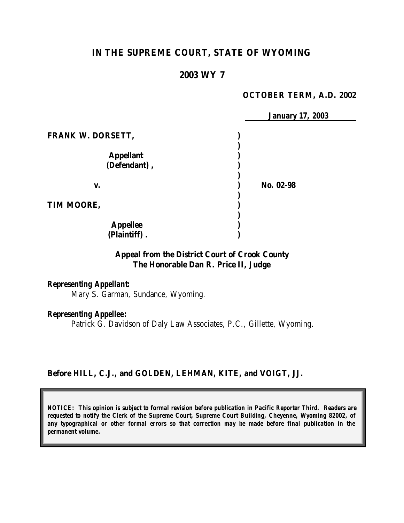# **IN THE SUPREME COURT, STATE OF WYOMING**

### **2003 WY 7**

### **OCTOBER TERM, A.D. 2002**

|                          | <b>January 17, 2003</b> |  |
|--------------------------|-------------------------|--|
| <b>FRANK W. DORSETT,</b> |                         |  |
|                          |                         |  |
| <b>Appellant</b>         |                         |  |
| (Defendant),             |                         |  |
| V.                       | No. 02-98               |  |
|                          |                         |  |
| TIM MOORE,               |                         |  |
|                          |                         |  |
| <b>Appellee</b>          |                         |  |
| (Plaintiff).             |                         |  |

# **Appeal from the District Court of Crook County The Honorable Dan R. Price II, Judge**

## *Representing Appellant:*

Mary S. Garman, Sundance, Wyoming.

### *Representing Appellee:*

Patrick G. Davidson of Daly Law Associates, P.C., Gillette, Wyoming.

### **Before HILL, C.J., and GOLDEN, LEHMAN, KITE, and VOIGT, JJ.**

*NOTICE: This opinion is subject to formal revision before publication in Pacific Reporter Third. Readers are requested to notify the Clerk of the Supreme Court, Supreme Court Building, Cheyenne, Wyoming 82002, of any typographical or other formal errors so that correction may be made before final publication in the permanent volume.*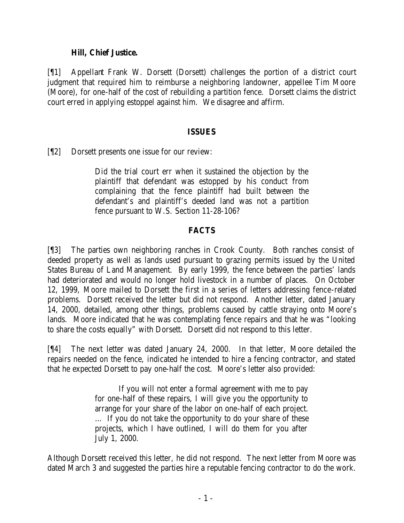### **Hill, Chief Justice.**

[¶1] Appellant Frank W. Dorsett (Dorsett) challenges the portion of a district court judgment that required him to reimburse a neighboring landowner, appellee Tim Moore (Moore), for one-half of the cost of rebuilding a partition fence. Dorsett claims the district court erred in applying estoppel against him. We disagree and affirm.

## **ISSUES**

[¶2] Dorsett presents one issue for our review:

Did the trial court err when it sustained the objection by the plaintiff that defendant was estopped by his conduct from complaining that the fence plaintiff had built between the defendant's and plaintiff's deeded land was not a partition fence pursuant to W.S. Section 11-28-106?

# **FACTS**

[¶3] The parties own neighboring ranches in Crook County. Both ranches consist of deeded property as well as lands used pursuant to grazing permits issued by the United States Bureau of Land Management. By early 1999, the fence between the parties' lands had deteriorated and would no longer hold livestock in a number of places. On October 12, 1999, Moore mailed to Dorsett the first in a series of letters addressing fence-related problems. Dorsett received the letter but did not respond. Another letter, dated January 14, 2000, detailed, among other things, problems caused by cattle straying onto Moore's lands. Moore indicated that he was contemplating fence repairs and that he was "looking to share the costs equally" with Dorsett. Dorsett did not respond to this letter.

[¶4] The next letter was dated January 24, 2000. In that letter, Moore detailed the repairs needed on the fence, indicated he intended to hire a fencing contractor, and stated that he expected Dorsett to pay one-half the cost. Moore's letter also provided:

> If you will not enter a formal agreement with me to pay for one-half of these repairs, I will give you the opportunity to arrange for your share of the labor on one-half of each project. … If you do not take the opportunity to do your share of these projects, which I have outlined, I will do them for you after July 1, 2000.

Although Dorsett received this letter, he did not respond. The next letter from Moore was dated March 3 and suggested the parties hire a reputable fencing contractor to do the work.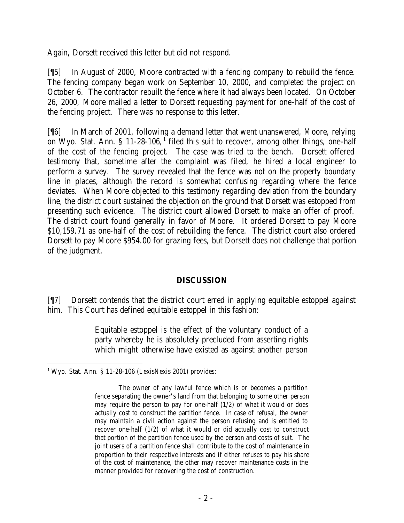Again, Dorsett received this letter but did not respond.

[¶5] In August of 2000, Moore contracted with a fencing company to rebuild the fence. The fencing company began work on September 10, 2000, and completed the project on October 6. The contractor rebuilt the fence where it had always been located. On October 26, 2000, Moore mailed a letter to Dorsett requesting payment for one-half of the cost of the fencing project. There was no response to this letter.

[¶6] In March of 2001, following a demand letter that went unanswered, Moore, relying on Wyo. Stat. Ann. § 11-28-106,<sup>1</sup> filed this suit to recover, among other things, one-half of the cost of the fencing project. The case was tried to the bench. Dorsett offered testimony that, sometime after the complaint was filed, he hired a local engineer to perform a survey. The survey revealed that the fence was not on the property boundary line in places, although the record is somewhat confusing regarding where the fence deviates. When Moore objected to this testimony regarding deviation from the boundary line, the district court sustained the objection on the ground that Dorsett was estopped from presenting such evidence. The district court allowed Dorsett to make an offer of proof. The district court found generally in favor of Moore. It ordered Dorsett to pay Moore \$10,159.71 as one-half of the cost of rebuilding the fence. The district court also ordered Dorsett to pay Moore \$954.00 for grazing fees, but Dorsett does not challenge that portion of the judgment.

## **DISCUSSION**

[¶7] Dorsett contends that the district court erred in applying equitable estoppel against him. This Court has defined equitable estoppel in this fashion:

> Equitable estoppel is the effect of the voluntary conduct of a party whereby he is absolutely precluded from asserting rights which might otherwise have existed as against another person

<sup>&</sup>lt;sup>1</sup> Wyo. Stat. Ann. § 11-28-106 (LexisNexis 2001) provides:

The owner of any lawful fence which is or becomes a partition fence separating the owner's land from that belonging to some other person may require the person to pay for one-half (1/2) of what it would or does actually cost to construct the partition fence. In case of refusal, the owner may maintain a civil action against the person refusing and is entitled to recover one-half (1/2) of what it would or did actually cost to construct that portion of the partition fence used by the person and costs of suit. The joint users of a partition fence shall contribute to the cost of maintenance in proportion to their respective interests and if either refuses to pay his share of the cost of maintenance, the other may recover maintenance costs in the manner provided for recovering the cost of construction.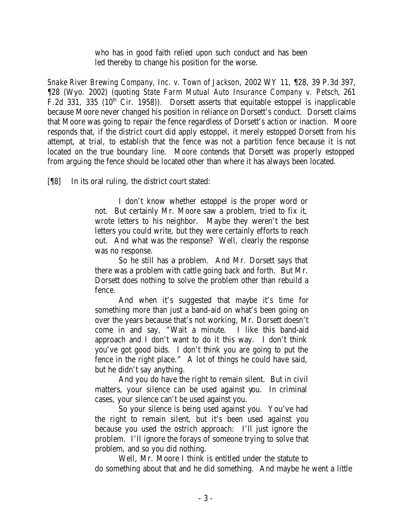who has in good faith relied upon such conduct and has been led thereby to change his position for the worse.

*Snake River Brewing Company, Inc. v. Town of Jackson*, 2002 WY 11, ¶28, 39 P.3d 397, ¶28 (Wyo. 2002) (quoting *State Farm Mutual Auto Insurance Company v. Petsch*, 261 F.2d 331, 335 ( $10^{th}$  Cir. 1958)). Dorsett asserts that equitable estoppel is inapplicable because Moore never changed his position in reliance on Dorsett's conduct. Dorsett claims that Moore was going to repair the fence regardless of Dorsett's action or inaction. Moore responds that, if the district court did apply estoppel, it merely estopped Dorsett from his attempt, at trial, to establish that the fence was not a partition fence because it is not located on the true boundary line. Moore contends that Dorsett was properly estopped from arguing the fence should be located other than where it has always been located.

[¶8] In its oral ruling, the district court stated:

I don't know whether estoppel is the proper word or not. But certainly Mr. Moore saw a problem, tried to fix it, wrote letters to his neighbor. Maybe they weren't the best letters you could write, but they were certainly efforts to reach out. And what was the response? Well, clearly the response was no response.

So he still has a problem. And Mr. Dorsett says that there was a problem with cattle going back and forth. But Mr. Dorsett does nothing to solve the problem other than rebuild a fence.

And when it's suggested that maybe it's time for something more than just a band-aid on what's been going on over the years because that's not working, Mr. Dorsett doesn't come in and say, "Wait a minute. I like this band-aid approach and I don't want to do it this way. I don't think you've got good bids. I don't think you are going to put the fence in the right place." A lot of things he could have said, but he didn't say anything.

And you do have the right to remain silent. But in civil matters, your silence can be used against you. In criminal cases, your silence can't be used against you.

So your silence is being used against you. You've had the right to remain silent, but it's been used against you because you used the ostrich approach: I'll just ignore the problem. I'll ignore the forays of someone trying to solve that problem, and so you did nothing.

Well, Mr. Moore I think is entitled under the statute to do something about that and he did something. And maybe he went a little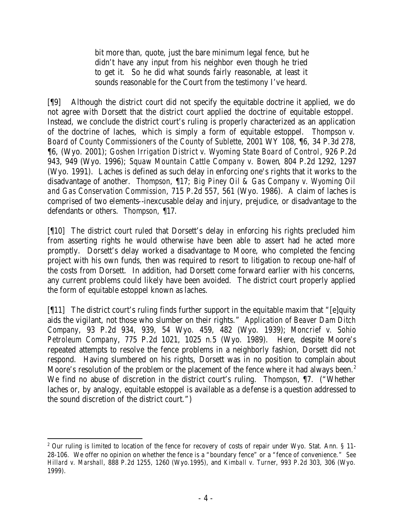bit more than, quote, just the bare minimum legal fence, but he didn't have any input from his neighbor even though he tried to get it. So he did what sounds fairly reasonable, at least it sounds reasonable for the Court from the testimony I've heard.

[¶9] Although the district court did not specify the equitable doctrine it applied, we do not agree with Dorsett that the district court applied the doctrine of equitable estoppel. Instead, we conclude the district court's ruling is properly characterized as an application of the doctrine of laches, which is simply a form of equitable estoppel. *Thompson v. Board of County Commissioners of the County of Sublette*, 2001 WY 108, ¶6, 34 P.3d 278, ¶6, (Wyo. 2001); *Goshen Irrigation District v. Wyoming State Board of Control*, 926 P.2d 943, 949 (Wyo. 1996); *Squaw Mountain Cattle Company v. Bowen*, 804 P.2d 1292, 1297 (Wyo. 1991). Laches is defined as such delay in enforcing one's rights that it works to the disadvantage of another. *Thompson*, ¶17; *Big Piney Oil & Gas Company v. Wyoming Oil and Gas Conservation Commission*, 715 P.2d 557, 561 (Wyo. 1986). A claim of laches is comprised of two elements--inexcusable delay and injury, prejudice, or disadvantage to the defendants or others. *Thompson,* ¶17.

[¶10] The district court ruled that Dorsett's delay in enforcing his rights precluded him from asserting rights he would otherwise have been able to assert had he acted more promptly. Dorsett's delay worked a disadvantage to Moore, who completed the fencing project with his own funds, then was required to resort to litigation to recoup one-half of the costs from Dorsett. In addition, had Dorsett come forward earlier with his concerns, any current problems could likely have been avoided. The district court properly applied the form of equitable estoppel known as laches.

[¶11] The district court's ruling finds further support in the equitable maxim that "[e]quity aids the vigilant, not those who slumber on their rights." *Application of Beaver Dam Ditch Company*, 93 P.2d 934, 939, 54 Wyo. 459, 482 (Wyo. 1939); *Moncrief v. Sohio Petroleum Company*, 775 P.2d 1021, 1025 n.5 (Wyo. 1989). Here, despite Moore's repeated attempts to resolve the fence problems in a neighborly fashion, Dorsett did not respond. Having slumbered on his rights, Dorsett was in no position to complain about Moore's resolution of the problem or the placement of the fence where it had always been.<sup>2</sup> We find no abuse of discretion in the district court's ruling. *Thompson*, ¶7. ("Whether laches or, by analogy, equitable estoppel is available as a de fense is a question addressed to the sound discretion of the district court.")

<sup>&</sup>lt;sup>2</sup> Our ruling is limited to location of the fence for recovery of costs of repair under Wyo. Stat. Ann. § 11-28-106. We offer no opinion on whether the fence is a "boundary fence" or a "fence of convenience." *See Hillard v. Marshall*, 888 P.2d 1255, 1260 (Wyo.1995), and *Kimball v. Turner*, 993 P.2d 303, 306 (Wyo. 1999).